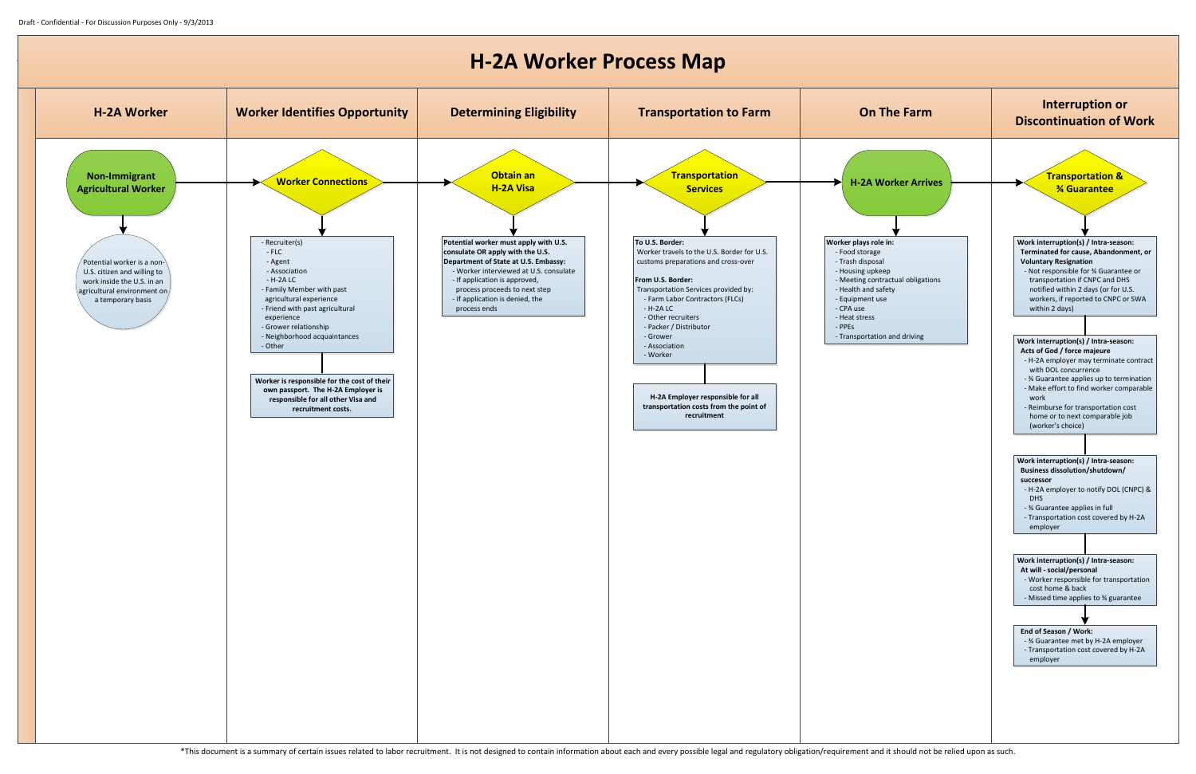## **H-2A Worker Process Map**